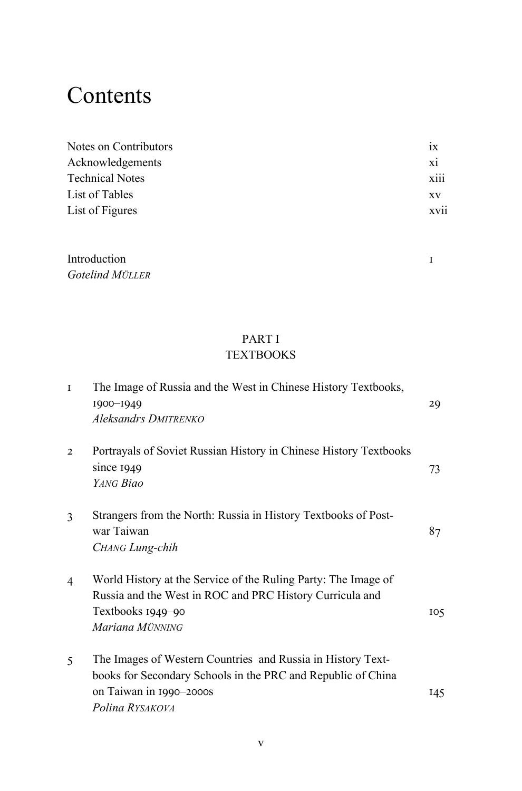# **Contents**

| Notes on Contributors  | 1X        |
|------------------------|-----------|
| Acknowledgements       | xi        |
| <b>Technical Notes</b> | xiii      |
| List of Tables         | <b>XV</b> |
| List of Figures        | xvii      |
|                        |           |

| Introduction    |  |
|-----------------|--|
| Gotelind MÜLLER |  |

#### PART I **TEXTBOOKS**

| $\mathbf{I}$   | The Image of Russia and the West in Chinese History Textbooks,<br>1900-1949<br>Aleksandrs DMITRENKO                                                                       | 29              |
|----------------|---------------------------------------------------------------------------------------------------------------------------------------------------------------------------|-----------------|
| $\overline{2}$ | Portrayals of Soviet Russian History in Chinese History Textbooks<br>since $1949$<br>YANG Biao                                                                            | 73              |
| 3              | Strangers from the North: Russia in History Textbooks of Post-<br>war Taiwan<br>CHANG Lung-chih                                                                           | 87              |
| 4              | World History at the Service of the Ruling Party: The Image of<br>Russia and the West in ROC and PRC History Curricula and<br>Textbooks 1949–90<br>Mariana MÜNNING        | 10 <sub>5</sub> |
| 5              | The Images of Western Countries and Russia in History Text-<br>books for Secondary Schools in the PRC and Republic of China<br>on Taiwan in 1990-2000s<br>Polina RYSAKOVA | 145             |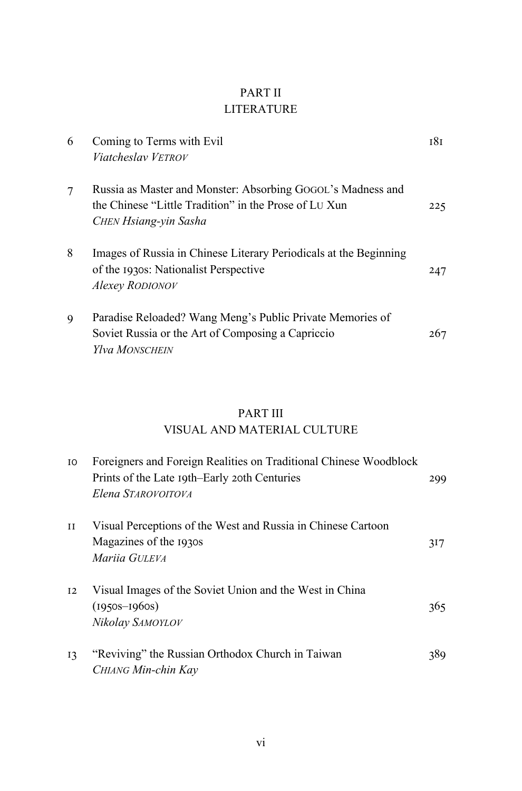## PART II **LITERATURE**

| 6 | Coming to Terms with Evil<br>Viatcheslay VETROV                                                                                               | 181 |
|---|-----------------------------------------------------------------------------------------------------------------------------------------------|-----|
| 7 | Russia as Master and Monster: Absorbing GOGOL's Madness and<br>the Chinese "Little Tradition" in the Prose of LU Xun<br>CHEN Hsiang-yin Sasha | 225 |
| 8 | Images of Russia in Chinese Literary Periodicals at the Beginning<br>of the 1930s: Nationalist Perspective<br>Alexey RODIONOV                 | 247 |
| 9 | Paradise Reloaded? Wang Meng's Public Private Memories of<br>Soviet Russia or the Art of Composing a Capriccio<br>Ylva MONSCHEIN              | 267 |

### **PART III**

#### VISUAL AND MATERIAL CULTURE

| IO.         | Foreigners and Foreign Realities on Traditional Chinese Woodblock<br>Prints of the Late 19th–Early 20th Centuries | 299 |
|-------------|-------------------------------------------------------------------------------------------------------------------|-----|
|             | Elena STAROVOITOVA                                                                                                |     |
| $_{\rm II}$ | Visual Perceptions of the West and Russia in Chinese Cartoon<br>Magazines of the 1930s<br>Mariia GULEVA           | 317 |
| 12          | Visual Images of the Soviet Union and the West in China<br>$(1950s - 1960s)$<br>Nikolay SAMOYLOV                  | 365 |
| 13          | "Reviving" the Russian Orthodox Church in Taiwan<br>CHIANG Min-chin Kav                                           | 389 |